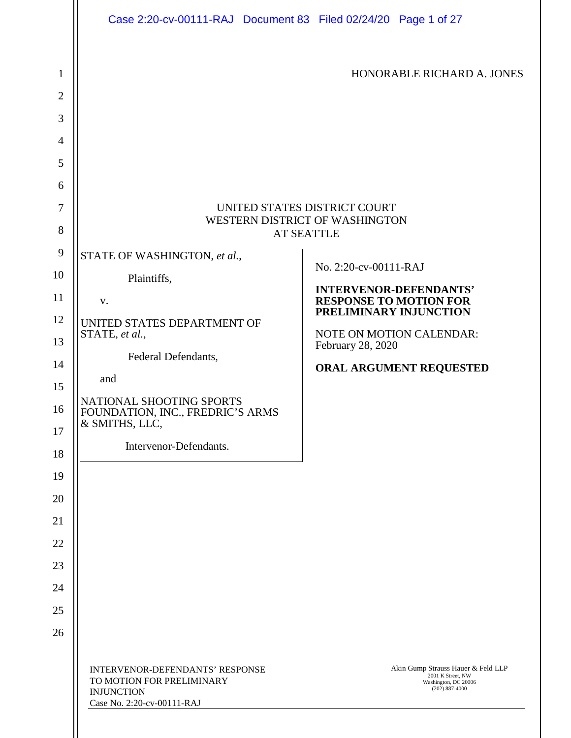|                                                                                                                             | Case 2:20-cv-00111-RAJ Document 83 Filed 02/24/20 Page 1 of 27                                                                                                                                   |                                                                                                                                                                                                                                                                                                                    |
|-----------------------------------------------------------------------------------------------------------------------------|--------------------------------------------------------------------------------------------------------------------------------------------------------------------------------------------------|--------------------------------------------------------------------------------------------------------------------------------------------------------------------------------------------------------------------------------------------------------------------------------------------------------------------|
| $\mathbf{1}$<br>$\mathbf{2}$<br>3<br>$\overline{4}$<br>5<br>6<br>$\tau$<br>8<br>9<br>10<br>11<br>12<br>13<br>14<br>15<br>16 | STATE OF WASHINGTON, et al.,<br>Plaintiffs,<br>V.<br>UNITED STATES DEPARTMENT OF<br>STATE, et al.,<br>Federal Defendants,<br>and<br>NATIONAL SHOOTING SPORTS<br>FOUNDATION, INC., FREDRIC'S ARMS | HONORABLE RICHARD A. JONES<br>UNITED STATES DISTRICT COURT<br>WESTERN DISTRICT OF WASHINGTON<br><b>AT SEATTLE</b><br>No. 2:20-cv-00111-RAJ<br><b>INTERVENOR-DEFENDANTS'</b><br><b>RESPONSE TO MOTION FOR</b><br>PRELIMINARY INJUNCTION<br>NOTE ON MOTION CALENDAR:<br>February 28, 2020<br>ORAL ARGUMENT REQUESTED |
| 17<br>18                                                                                                                    | & SMITHS, LLC,<br>Intervenor-Defendants.                                                                                                                                                         |                                                                                                                                                                                                                                                                                                                    |
| 19<br>20<br>21<br>22<br>23<br>24<br>25                                                                                      |                                                                                                                                                                                                  |                                                                                                                                                                                                                                                                                                                    |
| 26                                                                                                                          | INTERVENOR-DEFENDANTS' RESPONSE<br>TO MOTION FOR PRELIMINARY<br><b>INJUNCTION</b><br>Case No. 2:20-cv-00111-RAJ                                                                                  | Akin Gump Strauss Hauer & Feld LLP<br>2001 K Street, NW<br>Washington, DC 20006<br>$(202)$ 887-4000                                                                                                                                                                                                                |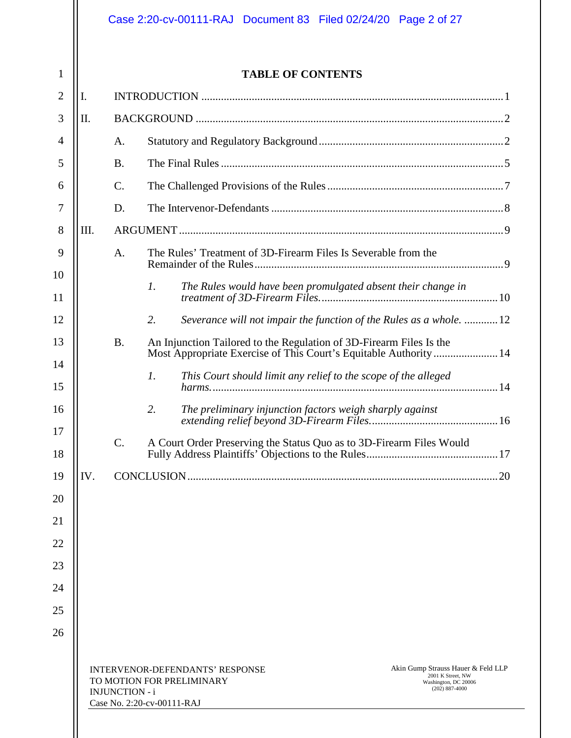# Case 2:20-cv-00111-RAJ Document 83 Filed 02/24/20 Page 2 of 27

1

# **TABLE OF CONTENTS**

| $\overline{2}$ | I.   |                                                                                                                                                                                                                              |                                                                                 |  |  |  |
|----------------|------|------------------------------------------------------------------------------------------------------------------------------------------------------------------------------------------------------------------------------|---------------------------------------------------------------------------------|--|--|--|
| 3              | Π.   |                                                                                                                                                                                                                              |                                                                                 |  |  |  |
| $\overline{4}$ |      | A.                                                                                                                                                                                                                           |                                                                                 |  |  |  |
| 5              |      | <b>B.</b>                                                                                                                                                                                                                    |                                                                                 |  |  |  |
| 6              |      | $\mathcal{C}$ .                                                                                                                                                                                                              |                                                                                 |  |  |  |
| 7              |      | D.                                                                                                                                                                                                                           |                                                                                 |  |  |  |
| $8\,$          | III. |                                                                                                                                                                                                                              |                                                                                 |  |  |  |
| 9              |      | A.                                                                                                                                                                                                                           | The Rules' Treatment of 3D-Firearm Files Is Severable from the                  |  |  |  |
| 10<br>11       |      |                                                                                                                                                                                                                              | $\mathfrak{1}.$<br>The Rules would have been promulgated absent their change in |  |  |  |
| 12             |      |                                                                                                                                                                                                                              | 2.<br>Severance will not impair the function of the Rules as a whole. 12        |  |  |  |
| 13             |      | <b>B.</b>                                                                                                                                                                                                                    | An Injunction Tailored to the Regulation of 3D-Firearm Files Is the             |  |  |  |
| 14             |      |                                                                                                                                                                                                                              | This Court should limit any relief to the scope of the alleged<br>1.            |  |  |  |
| 15             |      |                                                                                                                                                                                                                              |                                                                                 |  |  |  |
| 16             |      |                                                                                                                                                                                                                              | 2.<br>The preliminary injunction factors weigh sharply against                  |  |  |  |
| 17<br>18       |      | $C$ .                                                                                                                                                                                                                        | A Court Order Preserving the Status Quo as to 3D-Firearm Files Would            |  |  |  |
| 19             | IV.  |                                                                                                                                                                                                                              |                                                                                 |  |  |  |
| 20             |      |                                                                                                                                                                                                                              |                                                                                 |  |  |  |
| 21             |      |                                                                                                                                                                                                                              |                                                                                 |  |  |  |
| 22             |      |                                                                                                                                                                                                                              |                                                                                 |  |  |  |
| 23             |      |                                                                                                                                                                                                                              |                                                                                 |  |  |  |
| 24             |      |                                                                                                                                                                                                                              |                                                                                 |  |  |  |
| 25             |      |                                                                                                                                                                                                                              |                                                                                 |  |  |  |
| 26             |      |                                                                                                                                                                                                                              |                                                                                 |  |  |  |
|                |      |                                                                                                                                                                                                                              |                                                                                 |  |  |  |
|                |      | Akin Gump Strauss Hauer & Feld LLP<br>INTERVENOR-DEFENDANTS' RESPONSE<br>2001 K Street, NW<br>TO MOTION FOR PRELIMINARY<br>Washington, DC 20006<br>$(202) 887 - 4000$<br><b>INJUNCTION - i</b><br>Case No. 2:20-cv-00111-RAJ |                                                                                 |  |  |  |
|                |      |                                                                                                                                                                                                                              |                                                                                 |  |  |  |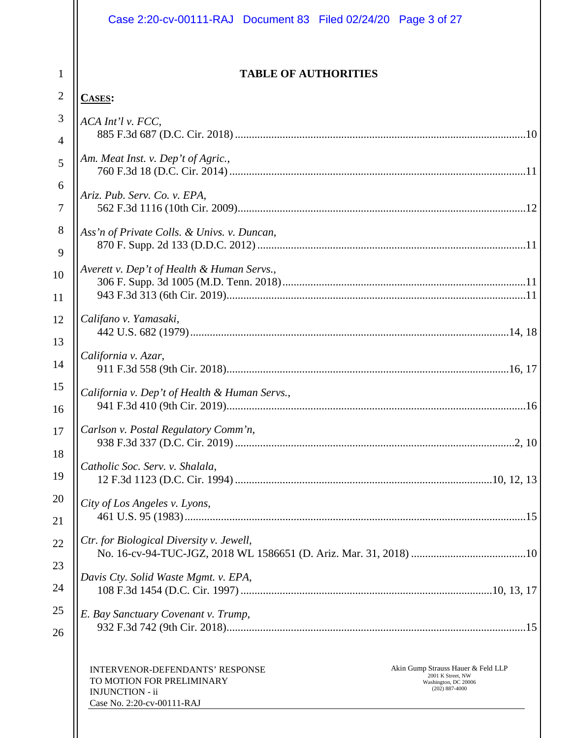| Case 2:20-cv-00111-RAJ Document 83 Filed 02/24/20 Page 3 of 27                                                                                                                                                                     |
|------------------------------------------------------------------------------------------------------------------------------------------------------------------------------------------------------------------------------------|
| <b>TABLE OF AUTHORITIES</b>                                                                                                                                                                                                        |
| <b>CASES:</b>                                                                                                                                                                                                                      |
| ACA Int'l v. FCC,                                                                                                                                                                                                                  |
|                                                                                                                                                                                                                                    |
| Am. Meat Inst. v. Dep't of Agric.,                                                                                                                                                                                                 |
| Ariz. Pub. Serv. Co. v. EPA,                                                                                                                                                                                                       |
| Ass'n of Private Colls. & Univs. v. Duncan,                                                                                                                                                                                        |
| Averett v. Dep't of Health & Human Servs.,                                                                                                                                                                                         |
|                                                                                                                                                                                                                                    |
| Califano v. Yamasaki,                                                                                                                                                                                                              |
| California v. Azar,                                                                                                                                                                                                                |
| California v. Dep't of Health & Human Servs.,                                                                                                                                                                                      |
| Carlson v. Postal Regulatory Comm'n,                                                                                                                                                                                               |
| Catholic Soc. Serv. v. Shalala,                                                                                                                                                                                                    |
| City of Los Angeles v. Lyons,                                                                                                                                                                                                      |
| Ctr. for Biological Diversity v. Jewell,                                                                                                                                                                                           |
| Davis Cty. Solid Waste Mgmt. v. EPA,                                                                                                                                                                                               |
| E. Bay Sanctuary Covenant v. Trump,                                                                                                                                                                                                |
| Akin Gump Strauss Hauer & Feld LLP<br><b>INTERVENOR-DEFENDANTS' RESPONSE</b><br>2001 K Street, NW<br>TO MOTION FOR PRELIMINARY<br>Washington, DC 20006<br>$(202)$ 887-4000<br><b>INJUNCTION - ii</b><br>Case No. 2:20-cv-00111-RAJ |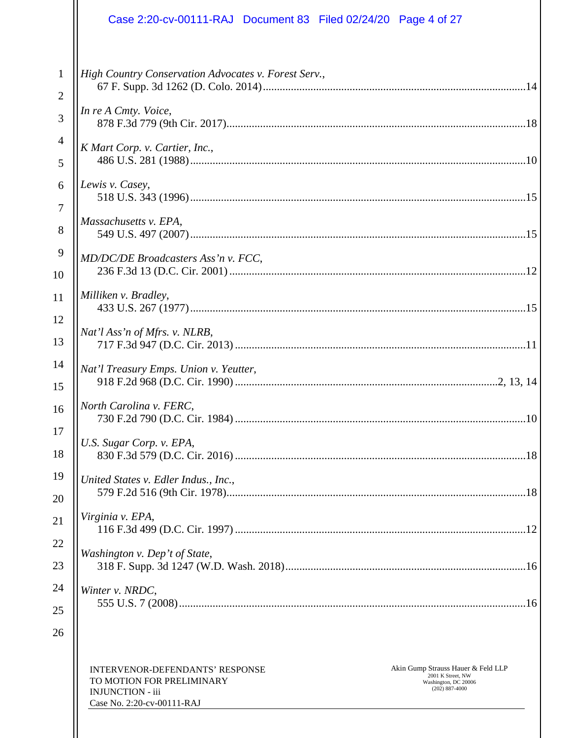| Case 2:20-cv-00111-RAJ Document 83 Filed 02/24/20 Page 4 of 27                                                                                                                                                                      |
|-------------------------------------------------------------------------------------------------------------------------------------------------------------------------------------------------------------------------------------|
| High Country Conservation Advocates v. Forest Serv.,                                                                                                                                                                                |
| In re A Cmty. Voice,                                                                                                                                                                                                                |
| K Mart Corp. v. Cartier, Inc.,                                                                                                                                                                                                      |
| Lewis v. Casey,                                                                                                                                                                                                                     |
| Massachusetts v. EPA,                                                                                                                                                                                                               |
| MD/DC/DE Broadcasters Ass'n v. FCC,                                                                                                                                                                                                 |
| Milliken v. Bradley,                                                                                                                                                                                                                |
| Nat'l Ass'n of Mfrs. v. NLRB,                                                                                                                                                                                                       |
| Nat'l Treasury Emps. Union v. Yeutter,                                                                                                                                                                                              |
| North Carolina v. FERC,                                                                                                                                                                                                             |
| U.S. Sugar Corp. v. EPA,                                                                                                                                                                                                            |
| United States v. Edler Indus., Inc.,                                                                                                                                                                                                |
| Virginia v. EPA,                                                                                                                                                                                                                    |
| Washington v. Dep't of State,                                                                                                                                                                                                       |
| Winter v. NRDC,                                                                                                                                                                                                                     |
| Akin Gump Strauss Hauer & Feld LLP<br><b>INTERVENOR-DEFENDANTS' RESPONSE</b><br>2001 K Street, NW<br>TO MOTION FOR PRELIMINARY<br>Washington, DC 20006<br>$(202)$ 887-4000<br><b>INJUNCTION - iii</b><br>Case No. 2:20-cv-00111-RAJ |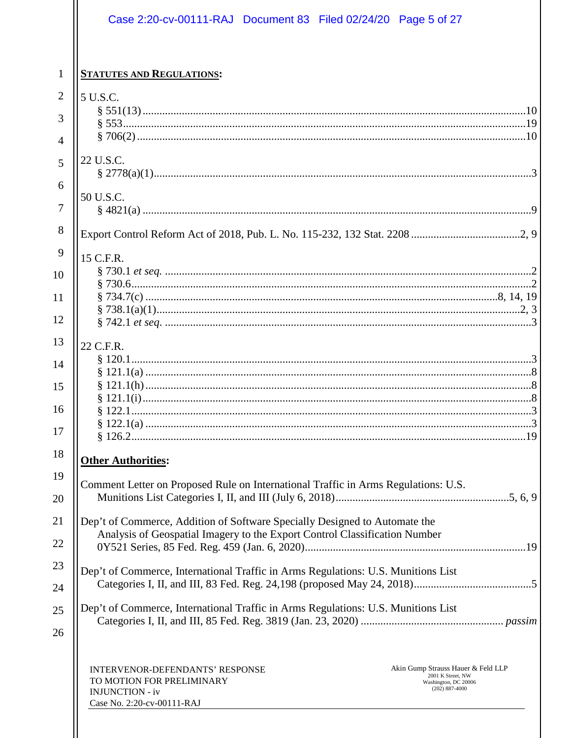|                                                      |                                                              | Case 2:20-cv-00111-RAJ Document 83 Filed 02/24/20 Page 5 of 27                                                                                           |                                                                                                     |  |
|------------------------------------------------------|--------------------------------------------------------------|----------------------------------------------------------------------------------------------------------------------------------------------------------|-----------------------------------------------------------------------------------------------------|--|
| <b>STATUTES AND REGULATIONS:</b>                     |                                                              |                                                                                                                                                          |                                                                                                     |  |
| 5 U.S.C.                                             |                                                              |                                                                                                                                                          |                                                                                                     |  |
|                                                      |                                                              |                                                                                                                                                          |                                                                                                     |  |
|                                                      |                                                              |                                                                                                                                                          |                                                                                                     |  |
| 22 U.S.C.                                            |                                                              |                                                                                                                                                          |                                                                                                     |  |
| 50 U.S.C.                                            |                                                              |                                                                                                                                                          |                                                                                                     |  |
|                                                      |                                                              |                                                                                                                                                          |                                                                                                     |  |
| 15 C.F.R.                                            |                                                              |                                                                                                                                                          |                                                                                                     |  |
|                                                      |                                                              |                                                                                                                                                          |                                                                                                     |  |
|                                                      |                                                              |                                                                                                                                                          |                                                                                                     |  |
|                                                      |                                                              |                                                                                                                                                          |                                                                                                     |  |
| 22 C.F.R.                                            |                                                              |                                                                                                                                                          |                                                                                                     |  |
| <b>Other Authorities:</b>                            |                                                              |                                                                                                                                                          |                                                                                                     |  |
|                                                      |                                                              | Comment Letter on Proposed Rule on International Traffic in Arms Regulations: U.S.                                                                       |                                                                                                     |  |
|                                                      |                                                              | Dep't of Commerce, Addition of Software Specially Designed to Automate the<br>Analysis of Geospatial Imagery to the Export Control Classification Number |                                                                                                     |  |
|                                                      |                                                              | Dep't of Commerce, International Traffic in Arms Regulations: U.S. Munitions List                                                                        |                                                                                                     |  |
|                                                      |                                                              | Dep't of Commerce, International Traffic in Arms Regulations: U.S. Munitions List                                                                        |                                                                                                     |  |
| <b>INJUNCTION - iv</b><br>Case No. 2:20-cv-00111-RAJ | INTERVENOR-DEFENDANTS' RESPONSE<br>TO MOTION FOR PRELIMINARY |                                                                                                                                                          | Akin Gump Strauss Hauer & Feld LLP<br>2001 K Street, NW<br>Washington, DC 20006<br>$(202)$ 887-4000 |  |

 $\mathsf{I}$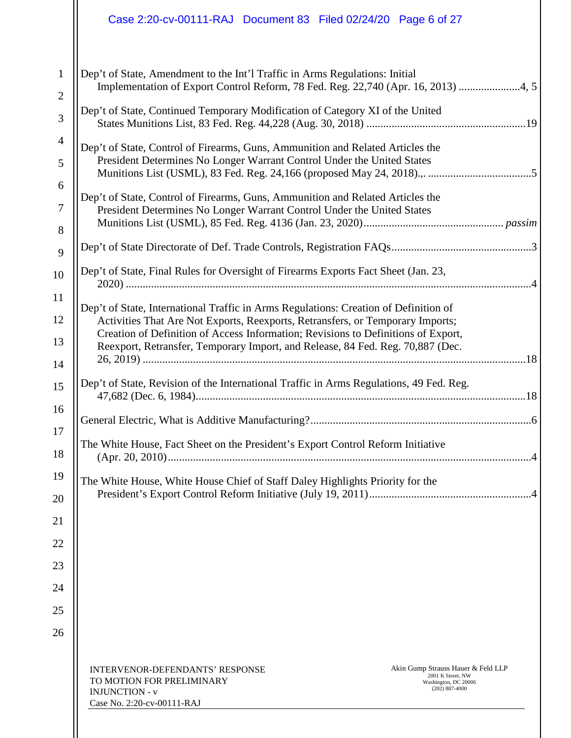|                                                                                                                                                          | Case 2:20-cv-00111-RAJ Document 83 Filed 02/24/20 Page 6 of 27                                                                                                                                                                                                                                                                                |  |  |  |
|----------------------------------------------------------------------------------------------------------------------------------------------------------|-----------------------------------------------------------------------------------------------------------------------------------------------------------------------------------------------------------------------------------------------------------------------------------------------------------------------------------------------|--|--|--|
|                                                                                                                                                          | Dep't of State, Amendment to the Int'l Traffic in Arms Regulations: Initial<br>Implementation of Export Control Reform, 78 Fed. Reg. 22,740 (Apr. 16, 2013) 4, 5                                                                                                                                                                              |  |  |  |
|                                                                                                                                                          | Dep't of State, Continued Temporary Modification of Category XI of the United                                                                                                                                                                                                                                                                 |  |  |  |
|                                                                                                                                                          | Dep't of State, Control of Firearms, Guns, Ammunition and Related Articles the<br>President Determines No Longer Warrant Control Under the United States                                                                                                                                                                                      |  |  |  |
| Dep't of State, Control of Firearms, Guns, Ammunition and Related Articles the<br>President Determines No Longer Warrant Control Under the United States |                                                                                                                                                                                                                                                                                                                                               |  |  |  |
|                                                                                                                                                          |                                                                                                                                                                                                                                                                                                                                               |  |  |  |
|                                                                                                                                                          | Dep't of State, Final Rules for Oversight of Firearms Exports Fact Sheet (Jan. 23,                                                                                                                                                                                                                                                            |  |  |  |
|                                                                                                                                                          | Dep't of State, International Traffic in Arms Regulations: Creation of Definition of<br>Activities That Are Not Exports, Reexports, Retransfers, or Temporary Imports;<br>Creation of Definition of Access Information; Revisions to Definitions of Export,<br>Reexport, Retransfer, Temporary Import, and Release, 84 Fed. Reg. 70,887 (Dec. |  |  |  |
|                                                                                                                                                          | Dep't of State, Revision of the International Traffic in Arms Regulations, 49 Fed. Reg.                                                                                                                                                                                                                                                       |  |  |  |
|                                                                                                                                                          |                                                                                                                                                                                                                                                                                                                                               |  |  |  |
|                                                                                                                                                          | The White House, Fact Sheet on the President's Export Control Reform Initiative                                                                                                                                                                                                                                                               |  |  |  |
|                                                                                                                                                          | The White House, White House Chief of Staff Daley Highlights Priority for the                                                                                                                                                                                                                                                                 |  |  |  |
|                                                                                                                                                          |                                                                                                                                                                                                                                                                                                                                               |  |  |  |
|                                                                                                                                                          |                                                                                                                                                                                                                                                                                                                                               |  |  |  |
|                                                                                                                                                          |                                                                                                                                                                                                                                                                                                                                               |  |  |  |
|                                                                                                                                                          |                                                                                                                                                                                                                                                                                                                                               |  |  |  |
|                                                                                                                                                          |                                                                                                                                                                                                                                                                                                                                               |  |  |  |
|                                                                                                                                                          | Akin Gump Strauss Hauer & Feld LLP<br><b>INTERVENOR-DEFENDANTS' RESPONSE</b><br>2001 K Street, NW<br>TO MOTION FOR PRELIMINARY<br>Washington, DC 20006<br>$(202) 887-4000$<br><b>INJUNCTION - v</b><br>Case No. 2:20-cv-00111-RAJ                                                                                                             |  |  |  |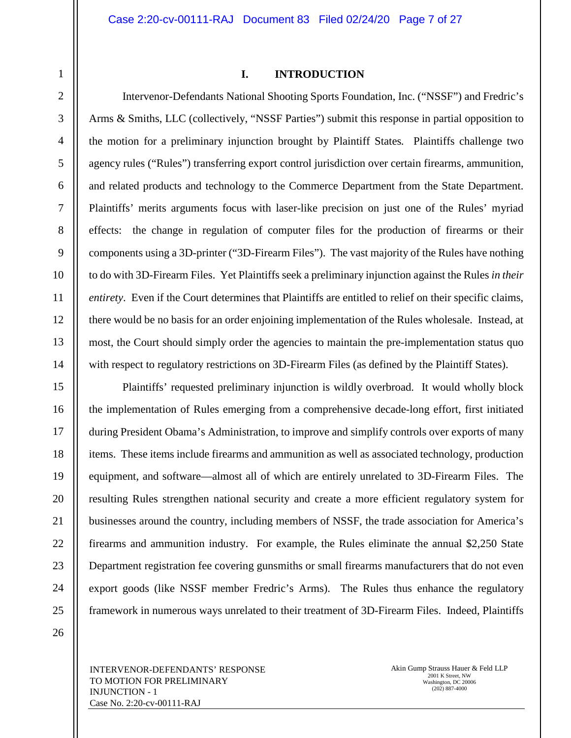1

#### **I. INTRODUCTION**

Intervenor-Defendants National Shooting Sports Foundation, Inc. ("NSSF") and Fredric's Arms & Smiths, LLC (collectively, "NSSF Parties") submit this response in partial opposition to the motion for a preliminary injunction brought by Plaintiff States*.* Plaintiffs challenge two agency rules ("Rules") transferring export control jurisdiction over certain firearms, ammunition, and related products and technology to the Commerce Department from the State Department. Plaintiffs' merits arguments focus with laser-like precision on just one of the Rules' myriad effects: the change in regulation of computer files for the production of firearms or their components using a 3D-printer ("3D-Firearm Files"). The vast majority of the Rules have nothing to do with 3D-Firearm Files. Yet Plaintiffs seek a preliminary injunction against the Rules *in their entirety*. Even if the Court determines that Plaintiffs are entitled to relief on their specific claims, there would be no basis for an order enjoining implementation of the Rules wholesale. Instead, at most, the Court should simply order the agencies to maintain the pre-implementation status quo with respect to regulatory restrictions on 3D-Firearm Files (as defined by the Plaintiff States).

Plaintiffs' requested preliminary injunction is wildly overbroad. It would wholly block the implementation of Rules emerging from a comprehensive decade-long effort, first initiated during President Obama's Administration, to improve and simplify controls over exports of many items. These items include firearms and ammunition as well as associated technology, production equipment, and software—almost all of which are entirely unrelated to 3D-Firearm Files. The resulting Rules strengthen national security and create a more efficient regulatory system for businesses around the country, including members of NSSF, the trade association for America's firearms and ammunition industry. For example, the Rules eliminate the annual \$2,250 State Department registration fee covering gunsmiths or small firearms manufacturers that do not even export goods (like NSSF member Fredric's Arms). The Rules thus enhance the regulatory framework in numerous ways unrelated to their treatment of 3D-Firearm Files. Indeed, Plaintiffs

26

INTERVENOR-DEFENDANTS' RESPONSE TO MOTION FOR PRELIMINARY INJUNCTION - 1 Case No. 2:20-cv-00111-RAJ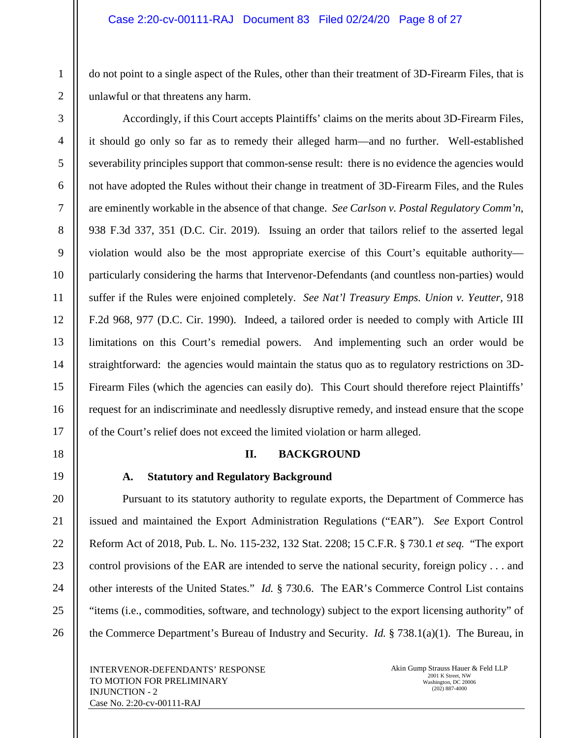do not point to a single aspect of the Rules, other than their treatment of 3D-Firearm Files, that is unlawful or that threatens any harm.

Accordingly, if this Court accepts Plaintiffs' claims on the merits about 3D-Firearm Files, it should go only so far as to remedy their alleged harm—and no further. Well-established severability principles support that common-sense result: there is no evidence the agencies would not have adopted the Rules without their change in treatment of 3D-Firearm Files, and the Rules are eminently workable in the absence of that change. *See Carlson v. Postal Regulatory Comm'n*, 938 F.3d 337, 351 (D.C. Cir. 2019). Issuing an order that tailors relief to the asserted legal violation would also be the most appropriate exercise of this Court's equitable authority particularly considering the harms that Intervenor-Defendants (and countless non-parties) would suffer if the Rules were enjoined completely. *See Nat'l Treasury Emps. Union v. Yeutter*, 918 F.2d 968, 977 (D.C. Cir. 1990). Indeed, a tailored order is needed to comply with Article III limitations on this Court's remedial powers. And implementing such an order would be straightforward: the agencies would maintain the status quo as to regulatory restrictions on 3D-Firearm Files (which the agencies can easily do). This Court should therefore reject Plaintiffs' request for an indiscriminate and needlessly disruptive remedy, and instead ensure that the scope of the Court's relief does not exceed the limited violation or harm alleged.

# **II. BACKGROUND**

# **A. Statutory and Regulatory Background**

Pursuant to its statutory authority to regulate exports, the Department of Commerce has issued and maintained the Export Administration Regulations ("EAR"). *See* Export Control Reform Act of 2018, Pub. L. No. 115-232, 132 Stat. 2208; 15 C.F.R. § 730.1 *et seq.* "The export control provisions of the EAR are intended to serve the national security, foreign policy . . . and other interests of the United States." *Id.* § 730.6. The EAR's Commerce Control List contains "items (i.e., commodities, software, and technology) subject to the export licensing authority" of the Commerce Department's Bureau of Industry and Security. *Id.* § 738.1(a)(1). The Bureau, in

INTERVENOR-DEFENDANTS' RESPONSE TO MOTION FOR PRELIMINARY INJUNCTION - 2 Case No. 2:20-cv-00111-RAJ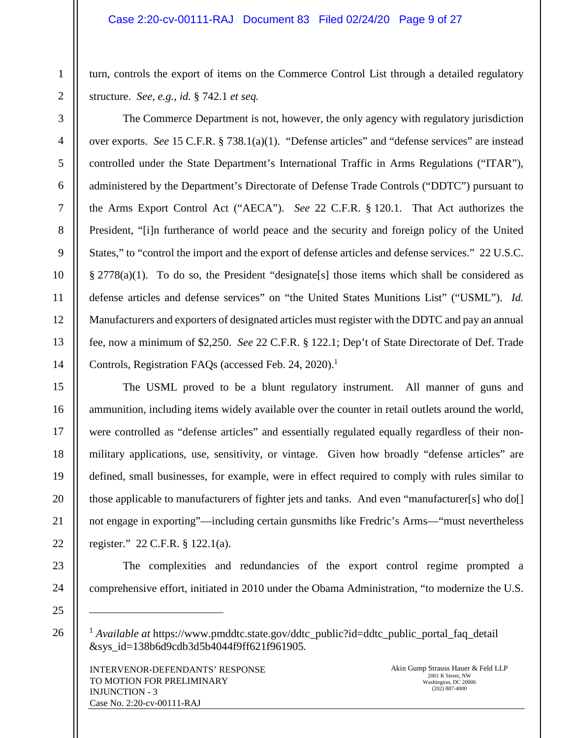turn, controls the export of items on the Commerce Control List through a detailed regulatory structure. *See, e.g.*, *id.* § 742.1 *et seq.*

The Commerce Department is not, however, the only agency with regulatory jurisdiction over exports. *See* 15 C.F.R. § 738.1(a)(1). "Defense articles" and "defense services" are instead controlled under the State Department's International Traffic in Arms Regulations ("ITAR"), administered by the Department's Directorate of Defense Trade Controls ("DDTC") pursuant to the Arms Export Control Act ("AECA"). *See* 22 C.F.R. § 120.1. That Act authorizes the President, "[i]n furtherance of world peace and the security and foreign policy of the United States," to "control the import and the export of defense articles and defense services." 22 U.S.C.  $\S 2778(a)(1)$ . To do so, the President "designate [s] those items which shall be considered as defense articles and defense services" on "the United States Munitions List" ("USML"). *Id.* Manufacturers and exporters of designated articles must register with the DDTC and pay an annual fee, now a minimum of \$2,250. *See* 22 C.F.R. § 122.1; Dep't of State Directorate of Def. Trade Controls, Registration FAQs (accessed Feb. 24, 2020).<sup>1</sup>

The USML proved to be a blunt regulatory instrument. All manner of guns and ammunition, including items widely available over the counter in retail outlets around the world, were controlled as "defense articles" and essentially regulated equally regardless of their nonmilitary applications, use, sensitivity, or vintage. Given how broadly "defense articles" are defined, small businesses, for example, were in effect required to comply with rules similar to those applicable to manufacturers of fighter jets and tanks. And even "manufacturer[s] who do[] not engage in exporting"—including certain gunsmiths like Fredric's Arms—"must nevertheless register." 22 C.F.R. § 122.1(a).

The complexities and redundancies of the export control regime prompted a comprehensive effort, initiated in 2010 under the Obama Administration, "to modernize the U.S.

<sup>&</sup>lt;sup>1</sup> *Available at* https://www.pmddtc.state.gov/ddtc\_public?id=ddtc\_public\_portal\_faq\_detail &sys\_id=138b6d9cdb3d5b4044f9ff621f961905*.*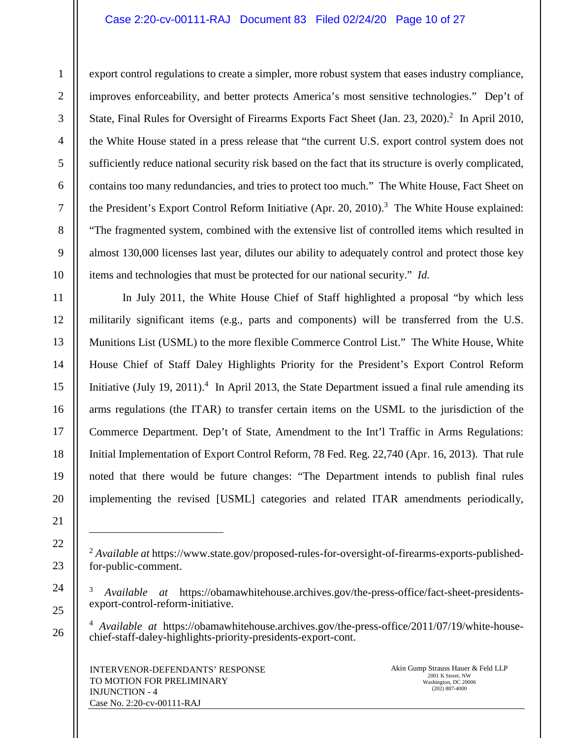# Case 2:20-cv-00111-RAJ Document 83 Filed 02/24/20 Page 10 of 27

export control regulations to create a simpler, more robust system that eases industry compliance, improves enforceability, and better protects America's most sensitive technologies." Dep't of State, Final Rules for Oversight of Firearms Exports Fact Sheet (Jan. 23, 2020).<sup>2</sup> In April 2010, the White House stated in a press release that "the current U.S. export control system does not sufficiently reduce national security risk based on the fact that its structure is overly complicated, contains too many redundancies, and tries to protect too much." The White House, Fact Sheet on the President's Export Control Reform Initiative (Apr. 20, 2010).<sup>3</sup> The White House explained: "The fragmented system, combined with the extensive list of controlled items which resulted in almost 130,000 licenses last year, dilutes our ability to adequately control and protect those key items and technologies that must be protected for our national security." *Id.*

In July 2011, the White House Chief of Staff highlighted a proposal "by which less militarily significant items (e.g., parts and components) will be transferred from the U.S. Munitions List (USML) to the more flexible Commerce Control List." The White House, White House Chief of Staff Daley Highlights Priority for the President's Export Control Reform Initiative (July 19, 2011).<sup>4</sup> In April 2013, the State Department issued a final rule amending its arms regulations (the ITAR) to transfer certain items on the USML to the jurisdiction of the Commerce Department. Dep't of State, Amendment to the Int'l Traffic in Arms Regulations: Initial Implementation of Export Control Reform, 78 Fed. Reg. 22,740 (Apr. 16, 2013). That rule noted that there would be future changes: "The Department intends to publish final rules implementing the revised [USML] categories and related ITAR amendments periodically,

<sup>2</sup> *Available at* https://www.state.gov/proposed-rules-for-oversight-of-firearms-exports-publishedfor-public-comment.

<sup>3</sup> *Available at* https://obamawhitehouse.archives.gov/the-press-office/fact-sheet-presidentsexport-control-reform-initiative.

<sup>4</sup> *Available at* https://obamawhitehouse.archives.gov/the-press-office/2011/07/19/white-housechief-staff-daley-highlights-priority-presidents-export-cont.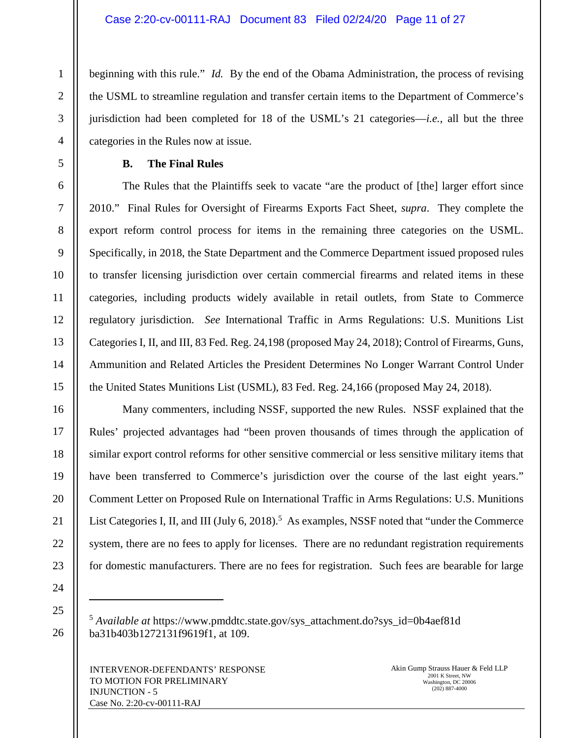beginning with this rule." *Id.* By the end of the Obama Administration, the process of revising the USML to streamline regulation and transfer certain items to the Department of Commerce's jurisdiction had been completed for 18 of the USML's 21 categories—*i.e.*, all but the three categories in the Rules now at issue.

## **B. The Final Rules**

The Rules that the Plaintiffs seek to vacate "are the product of [the] larger effort since 2010." Final Rules for Oversight of Firearms Exports Fact Sheet, *supra*. They complete the export reform control process for items in the remaining three categories on the USML. Specifically, in 2018, the State Department and the Commerce Department issued proposed rules to transfer licensing jurisdiction over certain commercial firearms and related items in these categories, including products widely available in retail outlets, from State to Commerce regulatory jurisdiction. *See* International Traffic in Arms Regulations: U.S. Munitions List Categories I, II, and III, 83 Fed. Reg. 24,198 (proposed May 24, 2018); Control of Firearms, Guns, Ammunition and Related Articles the President Determines No Longer Warrant Control Under the United States Munitions List (USML), 83 Fed. Reg. 24,166 (proposed May 24, 2018).

Many commenters, including NSSF, supported the new Rules. NSSF explained that the Rules' projected advantages had "been proven thousands of times through the application of similar export control reforms for other sensitive commercial or less sensitive military items that have been transferred to Commerce's jurisdiction over the course of the last eight years." Comment Letter on Proposed Rule on International Traffic in Arms Regulations: U.S. Munitions List Categories I, II, and III (July 6, 2018).<sup>5</sup> As examples, NSSF noted that "under the Commerce system, there are no fees to apply for licenses. There are no redundant registration requirements for domestic manufacturers. There are no fees for registration. Such fees are bearable for large

25

26

1

2

3

4

5

6

7

8

9

10

11

12

13

14

15

16

17

18

19

20

21

22

23

24

<sup>5</sup> *Available at* https://www.pmddtc.state.gov/sys\_attachment.do?sys\_id=0b4aef81d ba31b403b1272131f9619f1, at 109.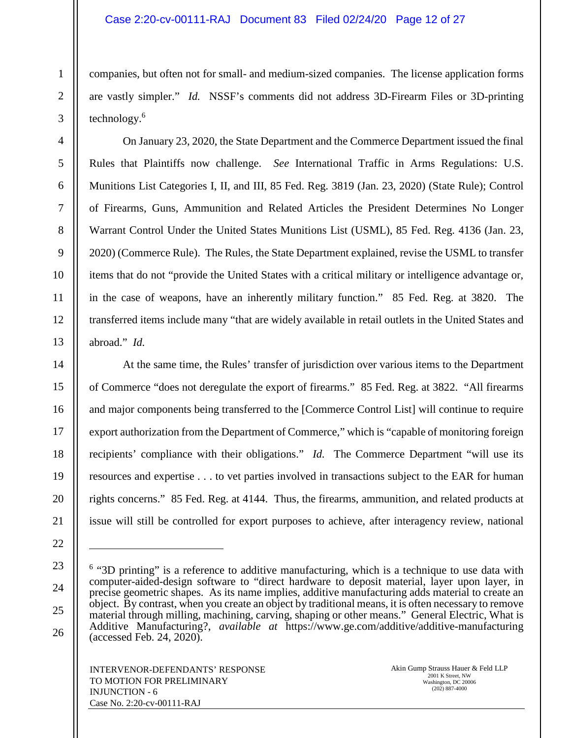# Case 2:20-cv-00111-RAJ Document 83 Filed 02/24/20 Page 12 of 27

companies, but often not for small- and medium-sized companies. The license application forms are vastly simpler." *Id.* NSSF's comments did not address 3D-Firearm Files or 3D-printing technology.<sup>6</sup>

On January 23, 2020, the State Department and the Commerce Department issued the final Rules that Plaintiffs now challenge. *See* International Traffic in Arms Regulations: U.S. Munitions List Categories I, II, and III, 85 Fed. Reg. 3819 (Jan. 23, 2020) (State Rule); Control of Firearms, Guns, Ammunition and Related Articles the President Determines No Longer Warrant Control Under the United States Munitions List (USML), 85 Fed. Reg. 4136 (Jan. 23, 2020) (Commerce Rule). The Rules, the State Department explained, revise the USML to transfer items that do not "provide the United States with a critical military or intelligence advantage or, in the case of weapons, have an inherently military function." 85 Fed. Reg. at 3820. The transferred items include many "that are widely available in retail outlets in the United States and abroad." *Id.*

At the same time, the Rules' transfer of jurisdiction over various items to the Department of Commerce "does not deregulate the export of firearms." 85 Fed. Reg. at 3822. "All firearms and major components being transferred to the [Commerce Control List] will continue to require export authorization from the Department of Commerce," which is "capable of monitoring foreign recipients' compliance with their obligations." *Id.* The Commerce Department "will use its resources and expertise . . . to vet parties involved in transactions subject to the EAR for human rights concerns." 85 Fed. Reg. at 4144. Thus, the firearms, ammunition, and related products at issue will still be controlled for export purposes to achieve, after interagency review, national

<sup>&</sup>lt;sup>6</sup> "3D printing" is a reference to additive manufacturing, which is a technique to use data with computer-aided-design software to "direct hardware to deposit material, layer upon layer, in precise geometric shapes. As its name implies, additive manufacturing adds material to create an object. By contrast, when you create an object by traditional means, it is often necessary to remove material through milling, machining, carving, shaping or other means." General Electric, What is Additive Manufacturing?, *available at* https://www.ge.com/additive/additive-manufacturing (accessed Feb. 24, 2020).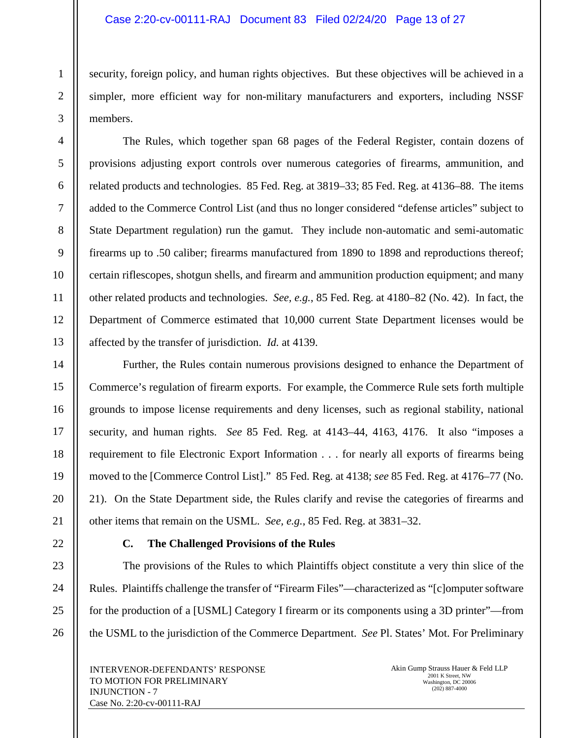# Case 2:20-cv-00111-RAJ Document 83 Filed 02/24/20 Page 13 of 27

security, foreign policy, and human rights objectives. But these objectives will be achieved in a simpler, more efficient way for non-military manufacturers and exporters, including NSSF members.

The Rules, which together span 68 pages of the Federal Register, contain dozens of provisions adjusting export controls over numerous categories of firearms, ammunition, and related products and technologies. 85 Fed. Reg. at 3819–33; 85 Fed. Reg. at 4136–88. The items added to the Commerce Control List (and thus no longer considered "defense articles" subject to State Department regulation) run the gamut. They include non-automatic and semi-automatic firearms up to .50 caliber; firearms manufactured from 1890 to 1898 and reproductions thereof; certain riflescopes, shotgun shells, and firearm and ammunition production equipment; and many other related products and technologies. *See, e.g.*, 85 Fed. Reg. at 4180–82 (No. 42). In fact, the Department of Commerce estimated that 10,000 current State Department licenses would be affected by the transfer of jurisdiction. *Id.* at 4139.

Further, the Rules contain numerous provisions designed to enhance the Department of Commerce's regulation of firearm exports. For example, the Commerce Rule sets forth multiple grounds to impose license requirements and deny licenses, such as regional stability, national security, and human rights. *See* 85 Fed. Reg. at 4143–44, 4163, 4176. It also "imposes a requirement to file Electronic Export Information . . . for nearly all exports of firearms being moved to the [Commerce Control List]." 85 Fed. Reg. at 4138; *see* 85 Fed. Reg. at 4176–77 (No. 21). On the State Department side, the Rules clarify and revise the categories of firearms and other items that remain on the USML. *See, e.g.*, 85 Fed. Reg. at 3831–32.

# **C. The Challenged Provisions of the Rules**

The provisions of the Rules to which Plaintiffs object constitute a very thin slice of the Rules. Plaintiffs challenge the transfer of "Firearm Files"—characterized as "[c]omputer software for the production of a [USML] Category I firearm or its components using a 3D printer"—from the USML to the jurisdiction of the Commerce Department. *See* Pl. States' Mot. For Preliminary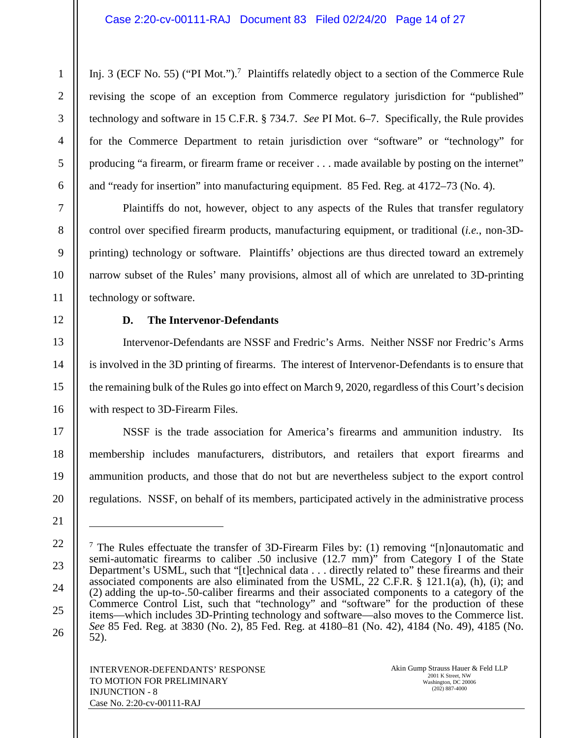Inj. 3 (ECF No. 55) ("PI Mot.").<sup>7</sup> Plaintiffs relatedly object to a section of the Commerce Rule revising the scope of an exception from Commerce regulatory jurisdiction for "published" technology and software in 15 C.F.R. § 734.7. *See* PI Mot. 6–7. Specifically, the Rule provides for the Commerce Department to retain jurisdiction over "software" or "technology" for producing "a firearm, or firearm frame or receiver . . . made available by posting on the internet" and "ready for insertion" into manufacturing equipment. 85 Fed. Reg. at 4172–73 (No. 4).

Plaintiffs do not, however, object to any aspects of the Rules that transfer regulatory control over specified firearm products, manufacturing equipment, or traditional (*i.e.*, non-3Dprinting) technology or software. Plaintiffs' objections are thus directed toward an extremely narrow subset of the Rules' many provisions, almost all of which are unrelated to 3D-printing technology or software.

# **D. The Intervenor-Defendants**

Intervenor-Defendants are NSSF and Fredric's Arms. Neither NSSF nor Fredric's Arms is involved in the 3D printing of firearms. The interest of Intervenor-Defendants is to ensure that the remaining bulk of the Rules go into effect on March 9, 2020, regardless of this Court's decision with respect to 3D-Firearm Files.

NSSF is the trade association for America's firearms and ammunition industry. Its membership includes manufacturers, distributors, and retailers that export firearms and ammunition products, and those that do not but are nevertheless subject to the export control regulations. NSSF, on behalf of its members, participated actively in the administrative process

<sup>&</sup>lt;sup>7</sup> The Rules effectuate the transfer of 3D-Firearm Files by: (1) removing "[n]onautomatic and semi-automatic firearms to caliber .50 inclusive (12.7 mm)" from Category I of the State Department's USML, such that "[t]echnical data . . . directly related to" these firearms and their associated components are also eliminated from the USML, 22 C.F.R. § 121.1(a), (h), (i); and (2) adding the up-to-.50-caliber firearms and their associated components to a category of the Commerce Control List, such that "technology" and "software" for the production of these items—which includes 3D-Printing technology and software—also moves to the Commerce list. *See* 85 Fed. Reg. at 3830 (No. 2), 85 Fed. Reg. at 4180–81 (No. 42), 4184 (No. 49), 4185 (No. 52).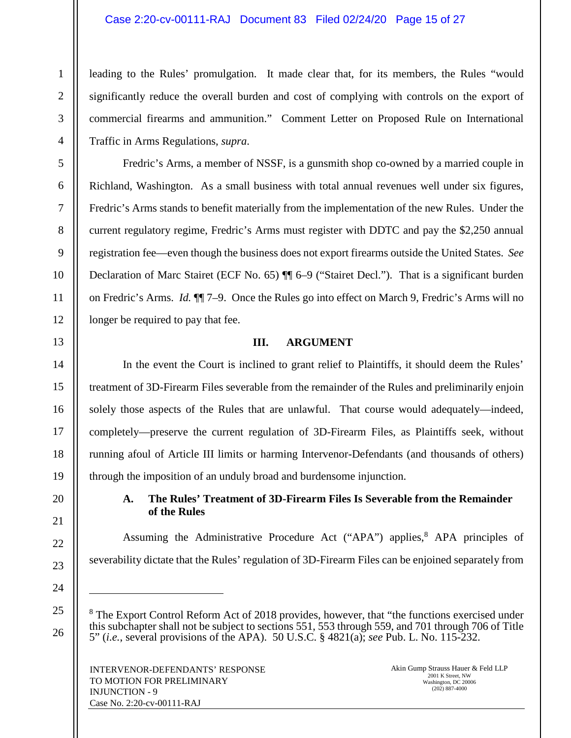# Case 2:20-cv-00111-RAJ Document 83 Filed 02/24/20 Page 15 of 27

leading to the Rules' promulgation. It made clear that, for its members, the Rules "would significantly reduce the overall burden and cost of complying with controls on the export of commercial firearms and ammunition." Comment Letter on Proposed Rule on International Traffic in Arms Regulations, *supra*.

Fredric's Arms, a member of NSSF, is a gunsmith shop co-owned by a married couple in Richland, Washington. As a small business with total annual revenues well under six figures, Fredric's Arms stands to benefit materially from the implementation of the new Rules. Under the current regulatory regime, Fredric's Arms must register with DDTC and pay the \$2,250 annual registration fee—even though the business does not export firearms outside the United States. *See*  Declaration of Marc Stairet (ECF No. 65)  $\P$  6–9 ("Stairet Decl."). That is a significant burden on Fredric's Arms. *Id.* ¶¶ 7–9. Once the Rules go into effect on March 9, Fredric's Arms will no longer be required to pay that fee.

# **III. ARGUMENT**

In the event the Court is inclined to grant relief to Plaintiffs, it should deem the Rules' treatment of 3D-Firearm Files severable from the remainder of the Rules and preliminarily enjoin solely those aspects of the Rules that are unlawful. That course would adequately—indeed, completely—preserve the current regulation of 3D-Firearm Files, as Plaintiffs seek, without running afoul of Article III limits or harming Intervenor-Defendants (and thousands of others) through the imposition of an unduly broad and burdensome injunction.

# **A. The Rules' Treatment of 3D-Firearm Files Is Severable from the Remainder of the Rules**

Assuming the Administrative Procedure Act ("APA") applies,<sup>8</sup> APA principles of severability dictate that the Rules' regulation of 3D-Firearm Files can be enjoined separately from

<sup>8</sup> The Export Control Reform Act of 2018 provides, however, that "the functions exercised under this subchapter shall not be subject to sections 551, 553 through 559, and 701 through 706 of Title 5" (*i.e.*, several provisions of the APA). 50 U.S.C. § 4821(a); *see* Pub. L. No. 115-232.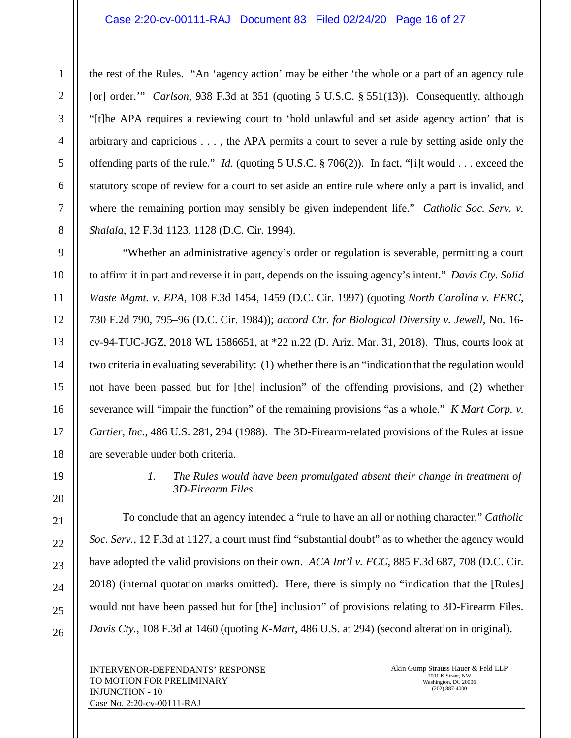#### Case 2:20-cv-00111-RAJ Document 83 Filed 02/24/20 Page 16 of 27

the rest of the Rules. "An 'agency action' may be either 'the whole or a part of an agency rule [or] order.'" *Carlson*, 938 F.3d at 351 (quoting 5 U.S.C. § 551(13)). Consequently, although "[t]he APA requires a reviewing court to 'hold unlawful and set aside agency action' that is arbitrary and capricious . . . , the APA permits a court to sever a rule by setting aside only the offending parts of the rule." *Id.* (quoting 5 U.S.C. § 706(2)). In fact, "[i]t would . . . exceed the statutory scope of review for a court to set aside an entire rule where only a part is invalid, and where the remaining portion may sensibly be given independent life." *Catholic Soc. Serv. v. Shalala*, 12 F.3d 1123, 1128 (D.C. Cir. 1994).

"Whether an administrative agency's order or regulation is severable, permitting a court to affirm it in part and reverse it in part, depends on the issuing agency's intent." *Davis Cty. Solid Waste Mgmt. v. EPA*, 108 F.3d 1454, 1459 (D.C. Cir. 1997) (quoting *North Carolina v. FERC*, 730 F.2d 790, 795–96 (D.C. Cir. 1984)); *accord Ctr. for Biological Diversity v. Jewell*, No. 16 cv-94-TUC-JGZ, 2018 WL 1586651, at \*22 n.22 (D. Ariz. Mar. 31, 2018). Thus, courts look at two criteria in evaluating severability: (1) whether there is an "indication that the regulation would not have been passed but for [the] inclusion" of the offending provisions, and (2) whether severance will "impair the function" of the remaining provisions "as a whole." *K Mart Corp. v. Cartier, Inc.*, 486 U.S. 281, 294 (1988). The 3D-Firearm-related provisions of the Rules at issue are severable under both criteria.

> *1. The Rules would have been promulgated absent their change in treatment of 3D-Firearm Files.*

To conclude that an agency intended a "rule to have an all or nothing character," *Catholic Soc. Serv.*, 12 F.3d at 1127, a court must find "substantial doubt" as to whether the agency would have adopted the valid provisions on their own. *ACA Int'l v. FCC*, 885 F.3d 687, 708 (D.C. Cir. 2018) (internal quotation marks omitted). Here, there is simply no "indication that the [Rules] would not have been passed but for [the] inclusion" of provisions relating to 3D-Firearm Files. *Davis Cty.*, 108 F.3d at 1460 (quoting *K-Mart*, 486 U.S. at 294) (second alteration in original).

INTERVENOR-DEFENDANTS' RESPONSE TO MOTION FOR PRELIMINARY INJUNCTION - 10 Case No. 2:20-cv-00111-RAJ

Akin Gump Strauss Hauer & Feld LLP 2001 K Street, NW Washington, DC 20006 (202) 887-4000

1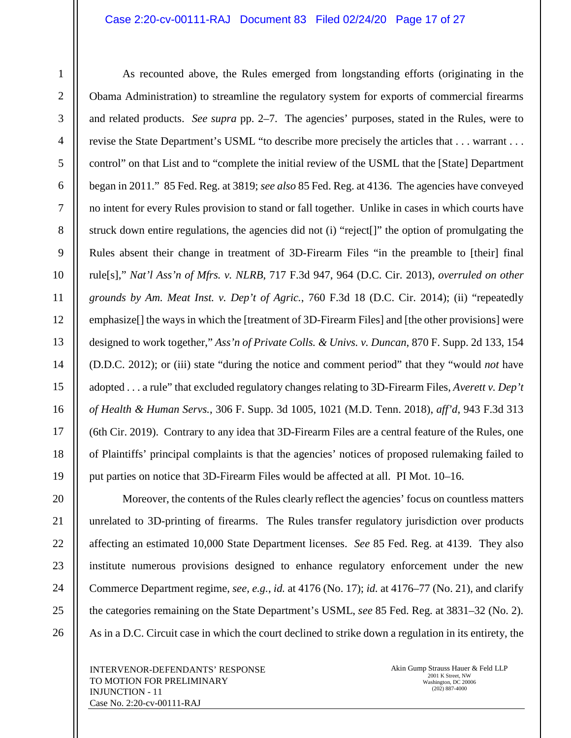# Case 2:20-cv-00111-RAJ Document 83 Filed 02/24/20 Page 17 of 27

As recounted above, the Rules emerged from longstanding efforts (originating in the Obama Administration) to streamline the regulatory system for exports of commercial firearms and related products. *See supra* pp. 2–7. The agencies' purposes, stated in the Rules, were to revise the State Department's USML "to describe more precisely the articles that . . . warrant . . . control" on that List and to "complete the initial review of the USML that the [State] Department began in 2011." 85 Fed. Reg. at 3819; *see also* 85 Fed. Reg. at 4136. The agencies have conveyed no intent for every Rules provision to stand or fall together. Unlike in cases in which courts have struck down entire regulations, the agencies did not (i) "reject[]" the option of promulgating the Rules absent their change in treatment of 3D-Firearm Files "in the preamble to [their] final rule[s]," *Nat'l Ass'n of Mfrs. v. NLRB*, 717 F.3d 947, 964 (D.C. Cir. 2013), *overruled on other grounds by Am. Meat Inst. v. Dep't of Agric.*, 760 F.3d 18 (D.C. Cir. 2014); (ii) "repeatedly emphasize[] the ways in which the [treatment of 3D-Firearm Files] and [the other provisions] were designed to work together," *Ass'n of Private Colls. & Univs. v. Duncan*, 870 F. Supp. 2d 133, 154 (D.D.C. 2012); or (iii) state "during the notice and comment period" that they "would *not* have adopted . . . a rule" that excluded regulatory changes relating to 3D-Firearm Files, *Averett v. Dep't of Health & Human Servs.*, 306 F. Supp. 3d 1005, 1021 (M.D. Tenn. 2018), *aff'd*, 943 F.3d 313 (6th Cir. 2019). Contrary to any idea that 3D-Firearm Files are a central feature of the Rules, one of Plaintiffs' principal complaints is that the agencies' notices of proposed rulemaking failed to put parties on notice that 3D-Firearm Files would be affected at all. PI Mot. 10–16.

Moreover, the contents of the Rules clearly reflect the agencies' focus on countless matters unrelated to 3D-printing of firearms. The Rules transfer regulatory jurisdiction over products affecting an estimated 10,000 State Department licenses. *See* 85 Fed. Reg. at 4139. They also institute numerous provisions designed to enhance regulatory enforcement under the new Commerce Department regime, *see, e.g.*, *id.* at 4176 (No. 17); *id.* at 4176–77 (No. 21), and clarify the categories remaining on the State Department's USML, *see* 85 Fed. Reg. at 3831–32 (No. 2). As in a D.C. Circuit case in which the court declined to strike down a regulation in its entirety, the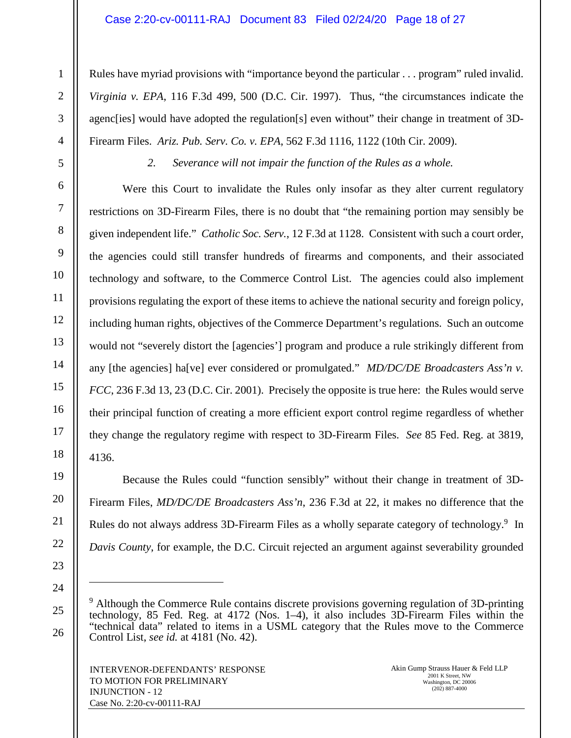# Case 2:20-cv-00111-RAJ Document 83 Filed 02/24/20 Page 18 of 27

Rules have myriad provisions with "importance beyond the particular . . . program" ruled invalid. *Virginia v. EPA*, 116 F.3d 499, 500 (D.C. Cir. 1997). Thus, "the circumstances indicate the agenc[ies] would have adopted the regulation[s] even without" their change in treatment of 3D-Firearm Files. *Ariz. Pub. Serv. Co. v. EPA*, 562 F.3d 1116, 1122 (10th Cir. 2009).

1

2

3

4

5

6

7

8

9

10

11

12

13

14

15

16

17

18

19

20

21

22

23

24

25

26

*2. Severance will not impair the function of the Rules as a whole.* 

Were this Court to invalidate the Rules only insofar as they alter current regulatory restrictions on 3D-Firearm Files, there is no doubt that "the remaining portion may sensibly be given independent life." *Catholic Soc. Serv.*, 12 F.3d at 1128. Consistent with such a court order, the agencies could still transfer hundreds of firearms and components, and their associated technology and software, to the Commerce Control List. The agencies could also implement provisions regulating the export of these items to achieve the national security and foreign policy, including human rights, objectives of the Commerce Department's regulations. Such an outcome would not "severely distort the [agencies'] program and produce a rule strikingly different from any [the agencies] ha[ve] ever considered or promulgated." *MD/DC/DE Broadcasters Ass'n v. FCC*, 236 F.3d 13, 23 (D.C. Cir. 2001). Precisely the opposite is true here: the Rules would serve their principal function of creating a more efficient export control regime regardless of whether they change the regulatory regime with respect to 3D-Firearm Files. *See* 85 Fed. Reg. at 3819, 4136.

Because the Rules could "function sensibly" without their change in treatment of 3D-Firearm Files, *MD/DC/DE Broadcasters Ass'n*, 236 F.3d at 22, it makes no difference that the Rules do not always address 3D-Firearm Files as a wholly separate category of technology.<sup>9</sup> In *Davis County*, for example, the D.C. Circuit rejected an argument against severability grounded

<sup>&</sup>lt;sup>9</sup> Although the Commerce Rule contains discrete provisions governing regulation of 3D-printing technology, 85 Fed. Reg. at 4172 (Nos. 1–4), it also includes 3D-Firearm Files within the "technical data" related to items in a USML category that the Rules move to the Commerce Control List, *see id.* at 4181 (No. 42).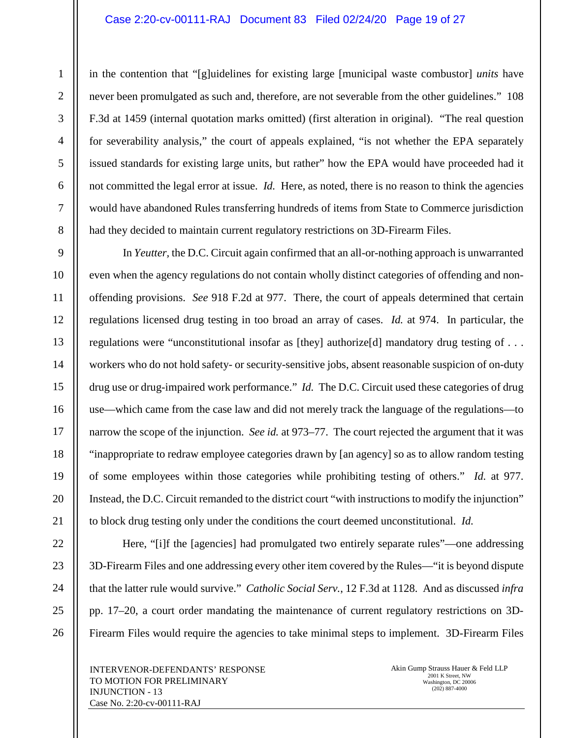# Case 2:20-cv-00111-RAJ Document 83 Filed 02/24/20 Page 19 of 27

in the contention that "[g]uidelines for existing large [municipal waste combustor] *units* have never been promulgated as such and, therefore, are not severable from the other guidelines." 108 F.3d at 1459 (internal quotation marks omitted) (first alteration in original). "The real question for severability analysis," the court of appeals explained, "is not whether the EPA separately issued standards for existing large units, but rather" how the EPA would have proceeded had it not committed the legal error at issue. *Id.* Here, as noted, there is no reason to think the agencies would have abandoned Rules transferring hundreds of items from State to Commerce jurisdiction had they decided to maintain current regulatory restrictions on 3D-Firearm Files.

In *Yeutter,* the D.C. Circuit again confirmed that an all-or-nothing approach is unwarranted even when the agency regulations do not contain wholly distinct categories of offending and nonoffending provisions. *See* 918 F.2d at 977. There, the court of appeals determined that certain regulations licensed drug testing in too broad an array of cases. *Id.* at 974. In particular, the regulations were "unconstitutional insofar as [they] authorize[d] mandatory drug testing of . . . workers who do not hold safety- or security-sensitive jobs, absent reasonable suspicion of on-duty drug use or drug-impaired work performance." *Id.* The D.C. Circuit used these categories of drug use—which came from the case law and did not merely track the language of the regulations—to narrow the scope of the injunction. *See id.* at 973–77. The court rejected the argument that it was "inappropriate to redraw employee categories drawn by [an agency] so as to allow random testing of some employees within those categories while prohibiting testing of others." *Id.* at 977. Instead, the D.C. Circuit remanded to the district court "with instructions to modify the injunction" to block drug testing only under the conditions the court deemed unconstitutional. *Id.*

Here, "[i]f the [agencies] had promulgated two entirely separate rules"—one addressing 3D-Firearm Files and one addressing every other item covered by the Rules—"it is beyond dispute that the latter rule would survive." *Catholic Social Serv.*, 12 F.3d at 1128. And as discussed *infra*  pp. 17–20, a court order mandating the maintenance of current regulatory restrictions on 3D-Firearm Files would require the agencies to take minimal steps to implement. 3D-Firearm Files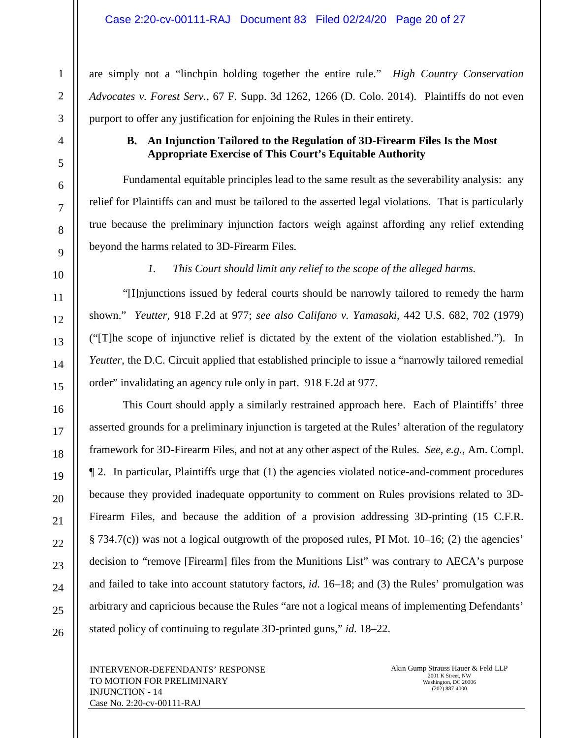are simply not a "linchpin holding together the entire rule." *High Country Conservation Advocates v. Forest Serv.*, 67 F. Supp. 3d 1262, 1266 (D. Colo. 2014). Plaintiffs do not even purport to offer any justification for enjoining the Rules in their entirety.

# **B. An Injunction Tailored to the Regulation of 3D-Firearm Files Is the Most Appropriate Exercise of This Court's Equitable Authority**

Fundamental equitable principles lead to the same result as the severability analysis: any relief for Plaintiffs can and must be tailored to the asserted legal violations. That is particularly true because the preliminary injunction factors weigh against affording any relief extending beyond the harms related to 3D-Firearm Files.

*1. This Court should limit any relief to the scope of the alleged harms.* 

"[I]njunctions issued by federal courts should be narrowly tailored to remedy the harm shown." *Yeutter*, 918 F.2d at 977; *see also Califano v. Yamasaki*, 442 U.S. 682, 702 (1979) ("[T]he scope of injunctive relief is dictated by the extent of the violation established."). In *Yeutter*, the D.C. Circuit applied that established principle to issue a "narrowly tailored remedial" order" invalidating an agency rule only in part. 918 F.2d at 977.

This Court should apply a similarly restrained approach here. Each of Plaintiffs' three asserted grounds for a preliminary injunction is targeted at the Rules' alteration of the regulatory framework for 3D-Firearm Files, and not at any other aspect of the Rules. *See, e.g.*, Am. Compl. ¶ 2. In particular, Plaintiffs urge that (1) the agencies violated notice-and-comment procedures because they provided inadequate opportunity to comment on Rules provisions related to 3D-Firearm Files, and because the addition of a provision addressing 3D-printing (15 C.F.R. § 734.7(c)) was not a logical outgrowth of the proposed rules, PI Mot. 10–16; (2) the agencies' decision to "remove [Firearm] files from the Munitions List" was contrary to AECA's purpose and failed to take into account statutory factors, *id.* 16–18; and (3) the Rules' promulgation was arbitrary and capricious because the Rules "are not a logical means of implementing Defendants' stated policy of continuing to regulate 3D-printed guns," *id.* 18–22.

INTERVENOR-DEFENDANTS' RESPONSE TO MOTION FOR PRELIMINARY INJUNCTION - 14 Case No. 2:20-cv-00111-RAJ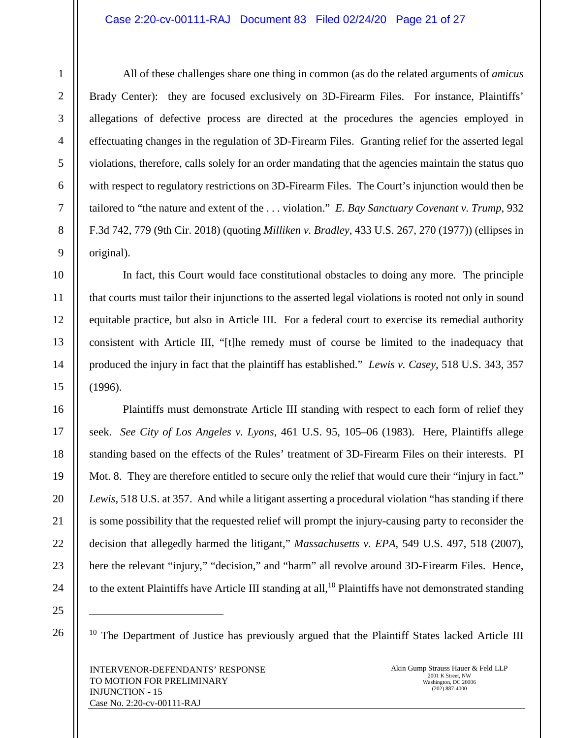# Case 2:20-cv-00111-RAJ Document 83 Filed 02/24/20 Page 21 of 27

All of these challenges share one thing in common (as do the related arguments of *amicus* Brady Center): they are focused exclusively on 3D-Firearm Files. For instance, Plaintiffs' allegations of defective process are directed at the procedures the agencies employed in effectuating changes in the regulation of 3D-Firearm Files. Granting relief for the asserted legal violations, therefore, calls solely for an order mandating that the agencies maintain the status quo with respect to regulatory restrictions on 3D-Firearm Files. The Court's injunction would then be tailored to "the nature and extent of the . . . violation." *E. Bay Sanctuary Covenant v. Trump*, 932 F.3d 742, 779 (9th Cir. 2018) (quoting *Milliken v. Bradley*, 433 U.S. 267, 270 (1977)) (ellipses in original).

In fact, this Court would face constitutional obstacles to doing any more. The principle that courts must tailor their injunctions to the asserted legal violations is rooted not only in sound equitable practice, but also in Article III. For a federal court to exercise its remedial authority consistent with Article III, "[t]he remedy must of course be limited to the inadequacy that produced the injury in fact that the plaintiff has established." *Lewis v. Casey*, 518 U.S. 343, 357 (1996).

Plaintiffs must demonstrate Article III standing with respect to each form of relief they seek. *See City of Los Angeles v. Lyons*, 461 U.S. 95, 105–06 (1983). Here, Plaintiffs allege standing based on the effects of the Rules' treatment of 3D-Firearm Files on their interests. PI Mot. 8. They are therefore entitled to secure only the relief that would cure their "injury in fact." *Lewis*, 518 U.S. at 357. And while a litigant asserting a procedural violation "has standing if there is some possibility that the requested relief will prompt the injury-causing party to reconsider the decision that allegedly harmed the litigant," *Massachusetts v. EPA*, 549 U.S. 497, 518 (2007), here the relevant "injury," "decision," and "harm" all revolve around 3D-Firearm Files. Hence, to the extent Plaintiffs have Article III standing at all,  $^{10}$  Plaintiffs have not demonstrated standing

1

 $10$  The Department of Justice has previously argued that the Plaintiff States lacked Article III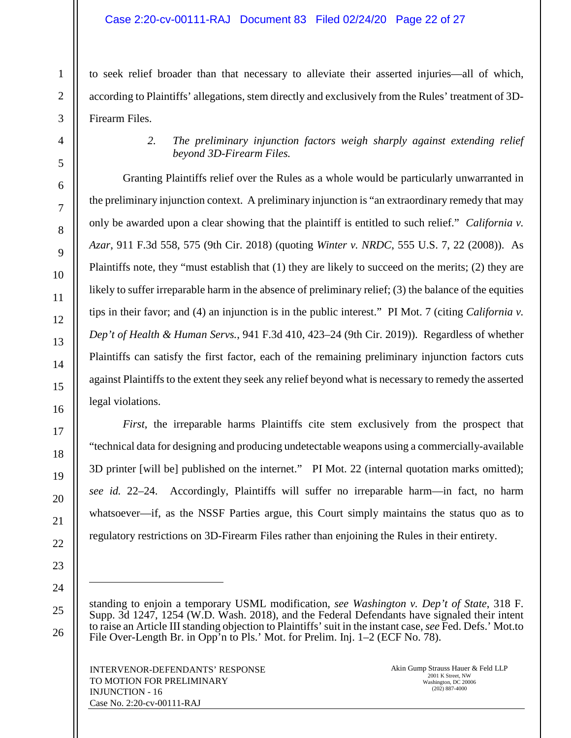# Case 2:20-cv-00111-RAJ Document 83 Filed 02/24/20 Page 22 of 27

to seek relief broader than that necessary to alleviate their asserted injuries—all of which, according to Plaintiffs' allegations, stem directly and exclusively from the Rules' treatment of 3D-Firearm Files.

> *2. The preliminary injunction factors weigh sharply against extending relief beyond 3D-Firearm Files.*

Granting Plaintiffs relief over the Rules as a whole would be particularly unwarranted in the preliminary injunction context. A preliminary injunction is "an extraordinary remedy that may only be awarded upon a clear showing that the plaintiff is entitled to such relief." *California v. Azar*, 911 F.3d 558, 575 (9th Cir. 2018) (quoting *Winter v. NRDC*, 555 U.S. 7, 22 (2008)). As Plaintiffs note, they "must establish that (1) they are likely to succeed on the merits; (2) they are likely to suffer irreparable harm in the absence of preliminary relief; (3) the balance of the equities tips in their favor; and (4) an injunction is in the public interest." PI Mot. 7 (citing *California v. Dep't of Health & Human Servs.*, 941 F.3d 410, 423–24 (9th Cir. 2019)). Regardless of whether Plaintiffs can satisfy the first factor, each of the remaining preliminary injunction factors cuts against Plaintiffs to the extent they seek any relief beyond what is necessary to remedy the asserted legal violations.

*First*, the irreparable harms Plaintiffs cite stem exclusively from the prospect that "technical data for designing and producing undetectable weapons using a commercially-available 3D printer [will be] published on the internet." PI Mot. 22 (internal quotation marks omitted); *see id.* 22–24. Accordingly, Plaintiffs will suffer no irreparable harm—in fact, no harm whatsoever—if, as the NSSF Parties argue, this Court simply maintains the status quo as to regulatory restrictions on 3D-Firearm Files rather than enjoining the Rules in their entirety.

standing to enjoin a temporary USML modification, *see Washington v. Dep't of State*, 318 F. Supp. 3d 1247, 1254 (W.D. Wash. 2018), and the Federal Defendants have signaled their intent to raise an Article III standing objection to Plaintiffs' suit in the instant case, *see* Fed. Defs.' Mot.to File Over-Length Br. in Opp'n to Pls.' Mot. for Prelim. Inj. 1–2 (ECF No. 78).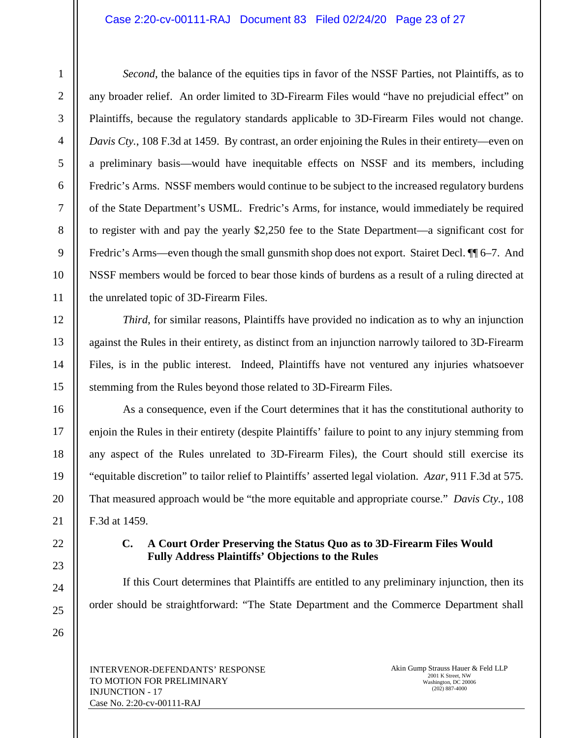# Case 2:20-cv-00111-RAJ Document 83 Filed 02/24/20 Page 23 of 27

1

*Second*, the balance of the equities tips in favor of the NSSF Parties, not Plaintiffs, as to any broader relief. An order limited to 3D-Firearm Files would "have no prejudicial effect" on Plaintiffs, because the regulatory standards applicable to 3D-Firearm Files would not change. *Davis Cty.*, 108 F.3d at 1459. By contrast, an order enjoining the Rules in their entirety—even on a preliminary basis—would have inequitable effects on NSSF and its members, including Fredric's Arms. NSSF members would continue to be subject to the increased regulatory burdens of the State Department's USML. Fredric's Arms, for instance, would immediately be required to register with and pay the yearly \$2,250 fee to the State Department—a significant cost for Fredric's Arms—even though the small gunsmith shop does not export. Stairet Decl.  $\P$ [6–7. And NSSF members would be forced to bear those kinds of burdens as a result of a ruling directed at the unrelated topic of 3D-Firearm Files.

*Third*, for similar reasons, Plaintiffs have provided no indication as to why an injunction against the Rules in their entirety, as distinct from an injunction narrowly tailored to 3D-Firearm Files, is in the public interest. Indeed, Plaintiffs have not ventured any injuries whatsoever stemming from the Rules beyond those related to 3D-Firearm Files.

As a consequence, even if the Court determines that it has the constitutional authority to enjoin the Rules in their entirety (despite Plaintiffs' failure to point to any injury stemming from any aspect of the Rules unrelated to 3D-Firearm Files), the Court should still exercise its "equitable discretion" to tailor relief to Plaintiffs' asserted legal violation. *Azar*, 911 F.3d at 575. That measured approach would be "the more equitable and appropriate course." *Davis Cty.*, 108 F.3d at 1459.

# **C. A Court Order Preserving the Status Quo as to 3D-Firearm Files Would Fully Address Plaintiffs' Objections to the Rules**

If this Court determines that Plaintiffs are entitled to any preliminary injunction, then its order should be straightforward: "The State Department and the Commerce Department shall

INTERVENOR-DEFENDANTS' RESPONSE TO MOTION FOR PRELIMINARY INJUNCTION - 17 Case No. 2:20-cv-00111-RAJ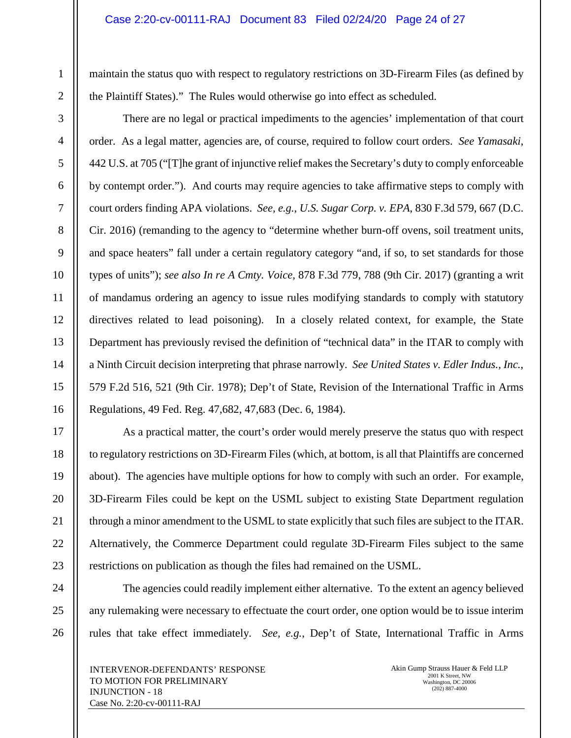maintain the status quo with respect to regulatory restrictions on 3D-Firearm Files (as defined by the Plaintiff States)." The Rules would otherwise go into effect as scheduled.

There are no legal or practical impediments to the agencies' implementation of that court order. As a legal matter, agencies are, of course, required to follow court orders. *See Yamasaki*, 442 U.S. at 705 ("[T]he grant of injunctive relief makes the Secretary's duty to comply enforceable by contempt order."). And courts may require agencies to take affirmative steps to comply with court orders finding APA violations. *See, e.g.*, *U.S. Sugar Corp. v. EPA*, 830 F.3d 579, 667 (D.C. Cir. 2016) (remanding to the agency to "determine whether burn-off ovens, soil treatment units, and space heaters" fall under a certain regulatory category "and, if so, to set standards for those types of units"); *see also In re A Cmty. Voice*, 878 F.3d 779, 788 (9th Cir. 2017) (granting a writ of mandamus ordering an agency to issue rules modifying standards to comply with statutory directives related to lead poisoning). In a closely related context, for example, the State Department has previously revised the definition of "technical data" in the ITAR to comply with a Ninth Circuit decision interpreting that phrase narrowly. *See United States v. Edler Indus., Inc.*, 579 F.2d 516, 521 (9th Cir. 1978); Dep't of State, Revision of the International Traffic in Arms Regulations, 49 Fed. Reg. 47,682, 47,683 (Dec. 6, 1984).

As a practical matter, the court's order would merely preserve the status quo with respect to regulatory restrictions on 3D-Firearm Files (which, at bottom, is all that Plaintiffs are concerned about). The agencies have multiple options for how to comply with such an order. For example, 3D-Firearm Files could be kept on the USML subject to existing State Department regulation through a minor amendment to the USML to state explicitly that such files are subject to the ITAR. Alternatively, the Commerce Department could regulate 3D-Firearm Files subject to the same restrictions on publication as though the files had remained on the USML.

The agencies could readily implement either alternative. To the extent an agency believed any rulemaking were necessary to effectuate the court order, one option would be to issue interim rules that take effect immediately. *See, e.g.*, Dep't of State, International Traffic in Arms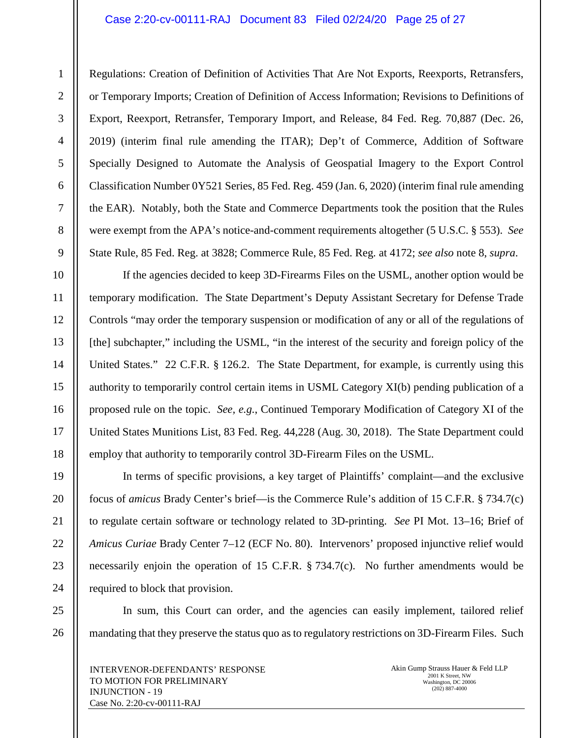#### Case 2:20-cv-00111-RAJ Document 83 Filed 02/24/20 Page 25 of 27

Regulations: Creation of Definition of Activities That Are Not Exports, Reexports, Retransfers, or Temporary Imports; Creation of Definition of Access Information; Revisions to Definitions of Export, Reexport, Retransfer, Temporary Import, and Release, 84 Fed. Reg. 70,887 (Dec. 26, 2019) (interim final rule amending the ITAR); Dep't of Commerce, Addition of Software Specially Designed to Automate the Analysis of Geospatial Imagery to the Export Control Classification Number 0Y521 Series, 85 Fed. Reg. 459 (Jan. 6, 2020) (interim final rule amending the EAR). Notably, both the State and Commerce Departments took the position that the Rules were exempt from the APA's notice-and-comment requirements altogether (5 U.S.C. § 553). *See* State Rule, 85 Fed. Reg. at 3828; Commerce Rule, 85 Fed. Reg. at 4172; *see also* note 8, *supra*.

If the agencies decided to keep 3D-Firearms Files on the USML, another option would be temporary modification. The State Department's Deputy Assistant Secretary for Defense Trade Controls "may order the temporary suspension or modification of any or all of the regulations of [the] subchapter," including the USML, "in the interest of the security and foreign policy of the United States." 22 C.F.R. § 126.2. The State Department, for example, is currently using this authority to temporarily control certain items in USML Category XI(b) pending publication of a proposed rule on the topic. *See, e.g.*, Continued Temporary Modification of Category XI of the United States Munitions List, 83 Fed. Reg. 44,228 (Aug. 30, 2018). The State Department could employ that authority to temporarily control 3D-Firearm Files on the USML.

In terms of specific provisions, a key target of Plaintiffs' complaint—and the exclusive focus of *amicus* Brady Center's brief—is the Commerce Rule's addition of 15 C.F.R. § 734.7(c) to regulate certain software or technology related to 3D-printing. *See* PI Mot. 13–16; Brief of *Amicus Curiae* Brady Center 7–12 (ECF No. 80). Intervenors' proposed injunctive relief would necessarily enjoin the operation of 15 C.F.R. § 734.7(c). No further amendments would be required to block that provision.

In sum, this Court can order, and the agencies can easily implement, tailored relief mandating that they preserve the status quo as to regulatory restrictions on 3D-Firearm Files. Such

INTERVENOR-DEFENDANTS' RESPONSE TO MOTION FOR PRELIMINARY INJUNCTION - 19 Case No. 2:20-cv-00111-RAJ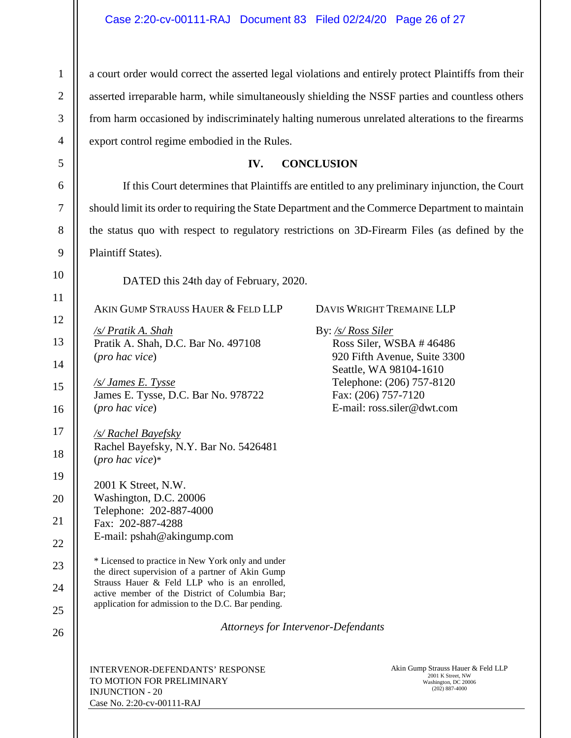a court order would correct the asserted legal violations and entirely protect Plaintiffs from their asserted irreparable harm, while simultaneously shielding the NSSF parties and countless others from harm occasioned by indiscriminately halting numerous unrelated alterations to the firearms export control regime embodied in the Rules.

# **IV. CONCLUSION**

If this Court determines that Plaintiffs are entitled to any preliminary injunction, the Court should limit its order to requiring the State Department and the Commerce Department to maintain the status quo with respect to regulatory restrictions on 3D-Firearm Files (as defined by the Plaintiff States).

DATED this 24th day of February, 2020.

AKIN GUMP STRAUSS HAUER & FELD LLP

*/s/ Pratik A. Shah*  Pratik A. Shah, D.C. Bar No. 497108 (*pro hac vice*)

*/s/ James E. Tysse*  James E. Tysse, D.C. Bar No. 978722 (*pro hac vice*)

*/s/ Rachel Bayefsky*  Rachel Bayefsky, N.Y. Bar No. 5426481 (*pro hac vice*)\*

2001 K Street, N.W.

Washington, D.C. 20006

Telephone: 202-887-4000 Fax: 202-887-4288

- 
- 22 E-mail: pshah@akingump.com

23 24 25 \* Licensed to practice in New York only and under the direct supervision of a partner of Akin Gump Strauss Hauer & Feld LLP who is an enrolled, active member of the District of Columbia Bar; application for admission to the D.C. Bar pending.

26

1

2

3

4

5

6

7

8

9

10

11

12

13

14

15

16

17

18

19

20

21

*Attorneys for Intervenor-Defendants* 

INTERVENOR-DEFENDANTS' RESPONSE TO MOTION FOR PRELIMINARY INJUNCTION - 20 Case No. 2:20-cv-00111-RAJ

Akin Gump Strauss Hauer & Feld LLP 2001 K Street, NW Washington, DC 20006 (202) 887-4000

DAVIS WRIGHT TREMAINE LLP

By: */s/ Ross Siler*

Ross Siler, WSBA # 46486 920 Fifth Avenue, Suite 3300 Seattle, WA 98104-1610 Telephone: (206) 757-8120 Fax: (206) 757-7120 E-mail: ross.siler@dwt.com